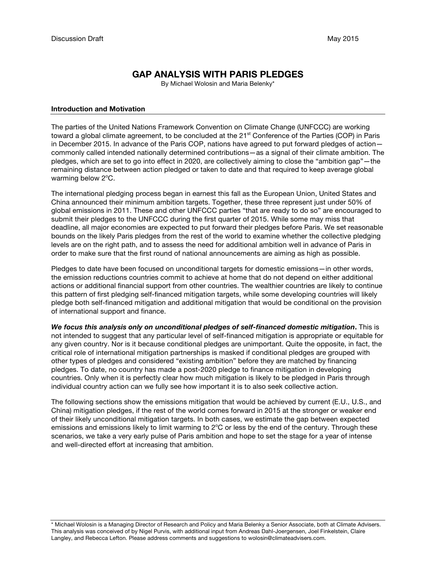# **GAP ANALYSIS WITH PARIS PLEDGES**

By Michael Wolosin and Maria Belenky\*

#### **Introduction and Motivation**

The parties of the United Nations Framework Convention on Climate Change (UNFCCC) are working toward a global climate agreement, to be concluded at the 21<sup>st</sup> Conference of the Parties (COP) in Paris in December 2015. In advance of the Paris COP, nations have agreed to put forward pledges of action commonly called intended nationally determined contributions—as a signal of their climate ambition. The pledges, which are set to go into effect in 2020, are collectively aiming to close the "ambition gap"—the remaining distance between action pledged or taken to date and that required to keep average global warming below 2°C.

The international pledging process began in earnest this fall as the European Union, United States and China announced their minimum ambition targets. Together, these three represent just under 50% of global emissions in 2011. These and other UNFCCC parties "that are ready to do so" are encouraged to submit their pledges to the UNFCCC during the first quarter of 2015. While some may miss that deadline, all major economies are expected to put forward their pledges before Paris. We set reasonable bounds on the likely Paris pledges from the rest of the world to examine whether the collective pledging levels are on the right path, and to assess the need for additional ambition well in advance of Paris in order to make sure that the first round of national announcements are aiming as high as possible.

Pledges to date have been focused on unconditional targets for domestic emissions—in other words, the emission reductions countries commit to achieve at home that do not depend on either additional actions or additional financial support from other countries. The wealthier countries are likely to continue this pattern of first pledging self-financed mitigation targets, while some developing countries will likely pledge both self-financed mitigation and additional mitigation that would be conditional on the provision of international support and finance.

*We focus this analysis only on unconditional pledges of self-financed domestic mitigation***.** This is not intended to suggest that any particular level of self-financed mitigation is appropriate or equitable for any given country. Nor is it because conditional pledges are unimportant. Quite the opposite, in fact, the critical role of international mitigation partnerships is masked if conditional pledges are grouped with other types of pledges and considered "existing ambition" before they are matched by financing pledges. To date, no country has made a post-2020 pledge to finance mitigation in developing countries. Only when it is perfectly clear how much mitigation is likely to be pledged in Paris through individual country action can we fully see how important it is to also seek collective action.

The following sections show the emissions mitigation that would be achieved by current (E.U., U.S., and China) mitigation pledges, if the rest of the world comes forward in 2015 at the stronger or weaker end of their likely unconditional mitigation targets. In both cases, we estimate the gap between expected emissions and emissions likely to limit warming to 2°C or less by the end of the century. Through these scenarios, we take a very early pulse of Paris ambition and hope to set the stage for a year of intense and well-directed effort at increasing that ambition.

\* Michael Wolosin is a Managing Director of Research and Policy and Maria Belenky a Senior Associate, both at Climate Advisers. This analysis was conceived of by Nigel Purvis, with additional input from Andreas Dahl-Joergensen, Joel Finkelstein, Claire Langley, and Rebecca Lefton. Please address comments and suggestions to wolosin@climateadvisers.com.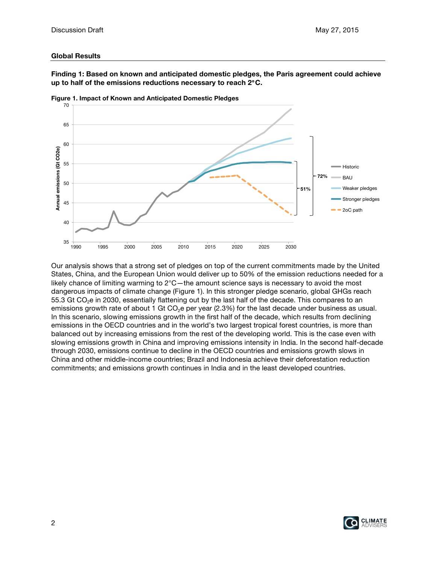### **Global Results**

**Finding 1: Based on known and anticipated domestic pledges, the Paris agreement could achieve up to half of the emissions reductions necessary to reach 2**°**C.** 



**Figure 1. Impact of Known and Anticipated Domestic Pledges**

Our analysis shows that a strong set of pledges on top of the current commitments made by the United States, China, and the European Union would deliver up to 50% of the emission reductions needed for a likely chance of limiting warming to 2°C—the amount science says is necessary to avoid the most dangerous impacts of climate change (Figure 1). In this stronger pledge scenario, global GHGs reach 55.3 Gt  $CO<sub>2</sub>e$  in 2030, essentially flattening out by the last half of the decade. This compares to an emissions growth rate of about 1 Gt  $CO<sub>2</sub>e$  per year (2.3%) for the last decade under business as usual. In this scenario, slowing emissions growth in the first half of the decade, which results from declining emissions in the OECD countries and in the world's two largest tropical forest countries, is more than balanced out by increasing emissions from the rest of the developing world. This is the case even with slowing emissions growth in China and improving emissions intensity in India. In the second half-decade through 2030, emissions continue to decline in the OECD countries and emissions growth slows in China and other middle-income countries; Brazil and Indonesia achieve their deforestation reduction commitments; and emissions growth continues in India and in the least developed countries.

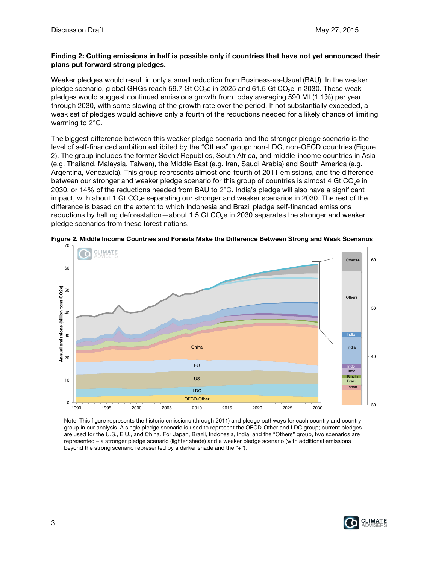### **Finding 2: Cutting emissions in half is possible only if countries that have not yet announced their plans put forward strong pledges.**

Weaker pledges would result in only a small reduction from Business-as-Usual (BAU). In the weaker pledge scenario, global GHGs reach 59.7 Gt CO<sub>2</sub>e in 2025 and 61.5 Gt CO<sub>2</sub>e in 2030. These weak pledges would suggest continued emissions growth from today averaging 590 Mt (1.1%) per year through 2030, with some slowing of the growth rate over the period. If not substantially exceeded, a weak set of pledges would achieve only a fourth of the reductions needed for a likely chance of limiting warming to 2°C.

The biggest difference between this weaker pledge scenario and the stronger pledge scenario is the level of self-financed ambition exhibited by the "Others" group: non-LDC, non-OECD countries (Figure 2). The group includes the former Soviet Republics, South Africa, and middle-income countries in Asia (e.g. Thailand, Malaysia, Taiwan), the Middle East (e.g. Iran, Saudi Arabia) and South America (e.g. Argentina, Venezuela). This group represents almost one-fourth of 2011 emissions, and the difference between our stronger and weaker pledge scenario for this group of countries is almost 4 Gt  $CO<sub>2</sub>e$  in 2030, or 14% of the reductions needed from BAU to  $2^{\circ}$ C. India's pledge will also have a significant impact, with about 1 Gt  $CO<sub>2</sub>e$  separating our stronger and weaker scenarios in 2030. The rest of the difference is based on the extent to which Indonesia and Brazil pledge self-financed emissions reductions by halting deforestation—about 1.5 Gt  $CO<sub>2</sub>e$  in 2030 separates the stronger and weaker pledge scenarios from these forest nations.





Note: This figure represents the historic emissions (through 2011) and pledge pathways for each country and country group in our analysis. A single pledge scenario is used to represent the OECD-Other and LDC group; current pledges are used for the U.S., E.U., and China. For Japan, Brazil, Indonesia, India, and the "Others" group, two scenarios are represented – a stronger pledge scenario (lighter shade) and a weaker pledge scenario (with additional emissions beyond the strong scenario represented by a darker shade and the "+").

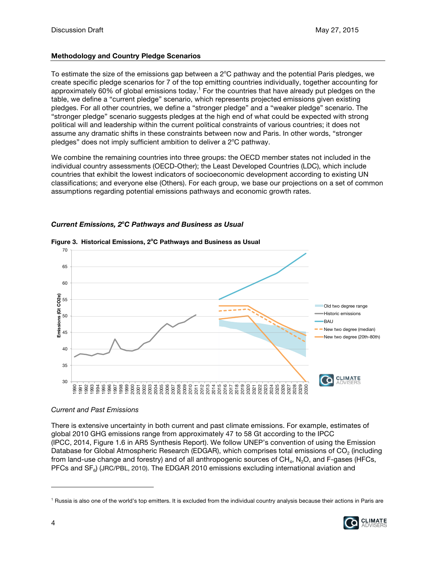## **Methodology and Country Pledge Scenarios**

To estimate the size of the emissions gap between a  $2^{\circ}$ C pathway and the potential Paris pledges, we create specific pledge scenarios for 7 of the top emitting countries individually, together accounting for approximately 60% of global emissions today.<sup>1</sup> For the countries that have already put pledges on the table, we define a "current pledge" scenario, which represents projected emissions given existing pledges. For all other countries, we define a "stronger pledge" and a "weaker pledge" scenario. The "stronger pledge" scenario suggests pledges at the high end of what could be expected with strong political will and leadership within the current political constraints of various countries; it does not assume any dramatic shifts in these constraints between now and Paris. In other words, "stronger pledges" does not imply sufficient ambition to deliver a 2°C pathway.

We combine the remaining countries into three groups: the OECD member states not included in the individual country assessments (OECD-Other); the Least Developed Countries (LDC), which include countries that exhibit the lowest indicators of socioeconomic development according to existing UN classifications; and everyone else (Others). For each group, we base our projections on a set of common assumptions regarding potential emissions pathways and economic growth rates.

## *Current Emissions, 2o C Pathways and Business as Usual*



#### **Figure 3. Historical Emissions, 2<sup>o</sup> C Pathways and Business as Usual**

## *Current and Past Emissions*

There is extensive uncertainty in both current and past climate emissions. For example, estimates of global 2010 GHG emissions range from approximately 47 to 58 Gt according to the IPCC (IPCC, 2014, Figure 1.6 in AR5 Synthesis Report). We follow UNEP's convention of using the Emission Database for Global Atmospheric Research (EDGAR), which comprises total emissions of CO<sub>2</sub> (including from land-use change and forestry) and of all anthropogenic sources of  $CH<sub>4</sub>$ , N<sub>2</sub>O, and F-gases (HFCs, PFCs and SF<sub>6</sub>) (JRC/PBL, 2010). The EDGAR 2010 emissions excluding international aviation and

<sup>&</sup>lt;sup>1</sup> Russia is also one of the world's top emitters. It is excluded from the individual country analysis because their actions in Paris are

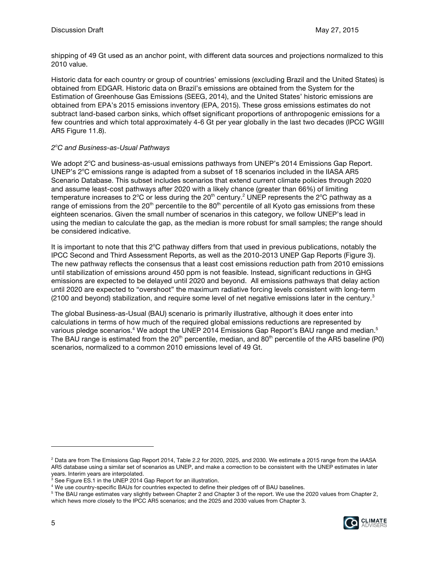shipping of 49 Gt used as an anchor point, with different data sources and projections normalized to this 2010 value.

Historic data for each country or group of countries' emissions (excluding Brazil and the United States) is obtained from EDGAR. Historic data on Brazil's emissions are obtained from the System for the Estimation of Greenhouse Gas Emissions (SEEG, 2014), and the United States' historic emissions are obtained from EPA's 2015 emissions inventory (EPA, 2015). These gross emissions estimates do not subtract land-based carbon sinks, which offset significant proportions of anthropogenic emissions for a few countries and which total approximately 4-6 Gt per year globally in the last two decades (IPCC WGIII AR5 Figure 11.8).

## *2o C and Business-as-Usual Pathways*

We adopt 2°C and business-as-usual emissions pathways from UNEP's 2014 Emissions Gap Report. UNEP's 2°C emissions range is adapted from a subset of 18 scenarios included in the IIASA AR5 Scenario Database. This subset includes scenarios that extend current climate policies through 2020 and assume least-cost pathways after 2020 with a likely chance (greater than 66%) of limiting temperature increases to 2°C or less during the 20<sup>th</sup> century.<sup>2</sup> UNEP represents the 2°C pathway as a range of emissions from the  $20<sup>th</sup>$  percentile to the  $80<sup>th</sup>$  percentile of all Kyoto gas emissions from these eighteen scenarios. Given the small number of scenarios in this category, we follow UNEP's lead in using the median to calculate the gap, as the median is more robust for small samples; the range should be considered indicative.

It is important to note that this 2°C pathway differs from that used in previous publications, notably the IPCC Second and Third Assessment Reports, as well as the 2010-2013 UNEP Gap Reports (Figure 3). The new pathway reflects the consensus that a least cost emissions reduction path from 2010 emissions until stabilization of emissions around 450 ppm is not feasible. Instead, significant reductions in GHG emissions are expected to be delayed until 2020 and beyond. All emissions pathways that delay action until 2020 are expected to "overshoot" the maximum radiative forcing levels consistent with long-term  $(2100$  and beyond) stabilization, and require some level of net negative emissions later in the century.<sup>3</sup>

The global Business-as-Usual (BAU) scenario is primarily illustrative, although it does enter into calculations in terms of how much of the required global emissions reductions are represented by various pledge scenarios.<sup>4</sup> We adopt the UNEP 2014 Emissions Gap Report's BAU range and median.<sup>5</sup> The BAU range is estimated from the 20<sup>th</sup> percentile, median, and 80<sup>th</sup> percentile of the AR5 baseline (P0) scenarios, normalized to a common 2010 emissions level of 49 Gt.

<sup>&</sup>lt;sup>5</sup> The BAU range estimates vary slightly between Chapter 2 and Chapter 3 of the report. We use the 2020 values from Chapter 2, which hews more closely to the IPCC AR5 scenarios; and the 2025 and 2030 values from Chapter 3.



<sup>2</sup> Data are from The Emissions Gap Report 2014, Table 2.2 for 2020, 2025, and 2030. We estimate a 2015 range from the IAASA AR5 database using a similar set of scenarios as UNEP, and make a correction to be consistent with the UNEP estimates in later years. Interim years are interpolated.

 $3$  See Figure ES.1 in the UNEP 2014 Gap Report for an illustration.

<sup>4</sup> We use country-specific BAUs for countries expected to define their pledges off of BAU baselines.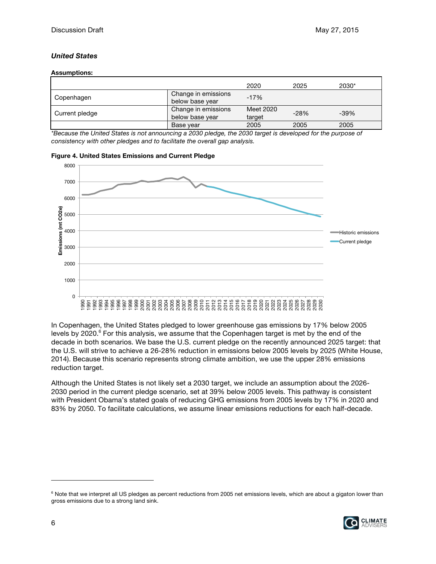### *United States*

#### **Assumptions:**

|                |                                        | 2020                | 2025   | 2030*  |
|----------------|----------------------------------------|---------------------|--------|--------|
| Copenhagen     | Change in emissions<br>below base year | $-17%$              |        |        |
| Current pledge | Change in emissions<br>below base year | Meet 2020<br>target | $-28%$ | $-39%$ |
|                | Base year                              | 2005                | 2005   | 2005   |

*\*Because the United States is not announcing a 2030 pledge, the 2030 target is developed for the purpose of consistency with other pledges and to facilitate the overall gap analysis.*





In Copenhagen, the United States pledged to lower greenhouse gas emissions by 17% below 2005 levels by  $2020<sup>6</sup>$  For this analysis, we assume that the Copenhagen target is met by the end of the decade in both scenarios. We base the U.S. current pledge on the recently announced 2025 target: that the U.S. will strive to achieve a 26-28% reduction in emissions below 2005 levels by 2025 (White House, 2014). Because this scenario represents strong climate ambition, we use the upper 28% emissions reduction target.

Although the United States is not likely set a 2030 target, we include an assumption about the 2026- 2030 period in the current pledge scenario, set at 39% below 2005 levels. This pathway is consistent with President Obama's stated goals of reducing GHG emissions from 2005 levels by 17% in 2020 and 83% by 2050. To facilitate calculations, we assume linear emissions reductions for each half-decade.

<sup>&</sup>lt;sup>6</sup> Note that we interpret all US pledges as percent reductions from 2005 net emissions levels, which are about a gigaton lower than gross emissions due to a strong land sink.

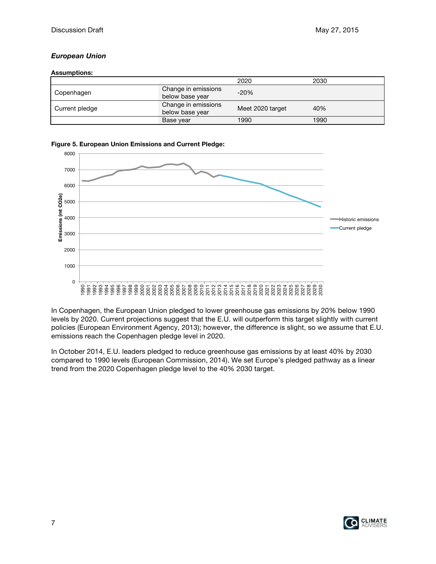## *European Union*

### **Assumptions:**

|                |                                        | 2020             | 2030 |
|----------------|----------------------------------------|------------------|------|
| Copenhagen     | Change in emissions<br>below base year | $-20%$           |      |
| Current pledge | Change in emissions<br>below base year | Meet 2020 target | 40%  |
|                | Base year                              | 1990             | 1990 |

### **Figure 5. European Union Emissions and Current Pledge:**



In Copenhagen, the European Union pledged to lower greenhouse gas emissions by 20% below 1990 levels by 2020. Current projections suggest that the E.U. will outperform this target slightly with current policies (European Environment Agency, 2013); however, the difference is slight, so we assume that E.U. emissions reach the Copenhagen pledge level in 2020.

In October 2014, E.U. leaders pledged to reduce greenhouse gas emissions by at least 40% by 2030 compared to 1990 levels (European Commission, 2014). We set Europe's pledged pathway as a linear trend from the 2020 Copenhagen pledge level to the 40% 2030 target.

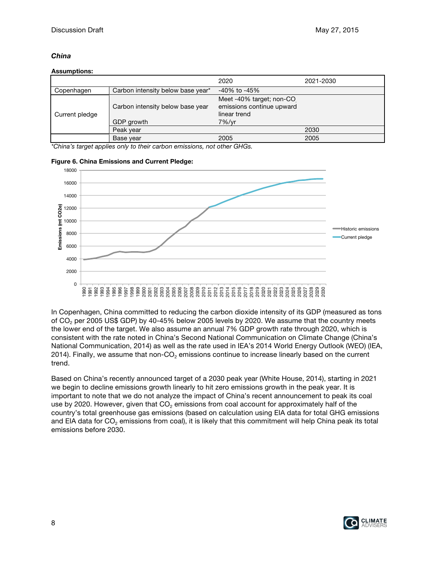## *China*

#### **Assumptions:**

|                |                                                | 2020                                                                           | 2021-2030 |
|----------------|------------------------------------------------|--------------------------------------------------------------------------------|-----------|
| Copenhagen     | Carbon intensity below base year*              | -40% to -45%                                                                   |           |
| Current pledge | Carbon intensity below base year<br>GDP growth | Meet -40% target; non-CO<br>emissions continue upward<br>linear trend<br>7%/vr |           |
|                | Peak year                                      |                                                                                | 2030      |
|                | Base year                                      | 2005                                                                           | 2005      |

*\*China's target applies only to their carbon emissions, not other GHGs.*



#### **Figure 6. China Emissions and Current Pledge:**

In Copenhagen, China committed to reducing the carbon dioxide intensity of its GDP (measured as tons of CO<sub>2</sub> per 2005 US\$ GDP) by 40-45% below 2005 levels by 2020. We assume that the country meets the lower end of the target. We also assume an annual 7% GDP growth rate through 2020, which is consistent with the rate noted in China's Second National Communication on Climate Change (China's National Communication, 2014) as well as the rate used in IEA's 2014 World Energy Outlook (WEO) (IEA, 2014). Finally, we assume that non- $CO<sub>2</sub>$  emissions continue to increase linearly based on the current trend.

Based on China's recently announced target of a 2030 peak year (White House, 2014), starting in 2021 we begin to decline emissions growth linearly to hit zero emissions growth in the peak year. It is important to note that we do not analyze the impact of China's recent announcement to peak its coal use by 2020. However, given that  $CO<sub>2</sub>$  emissions from coal account for approximately half of the country's total greenhouse gas emissions (based on calculation using EIA data for total GHG emissions and EIA data for  $CO<sub>2</sub>$  emissions from coal), it is likely that this commitment will help China peak its total emissions before 2030.

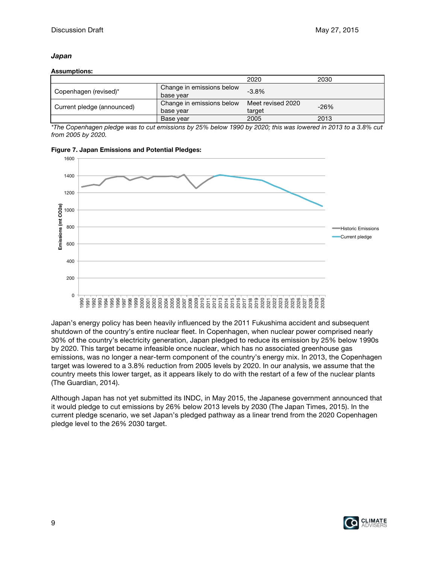### *Japan*

#### **Assumptions:**

|                            |                           | 2020              | 2030   |
|----------------------------|---------------------------|-------------------|--------|
| Copenhagen (revised)*      | Change in emissions below | $-3.8%$           |        |
|                            | base year                 |                   |        |
|                            | Change in emissions below | Meet revised 2020 | $-26%$ |
| Current pledge (announced) | base year                 | target            |        |
|                            | Base year                 | 2005              | 2013   |

*\*The Copenhagen pledge was to cut emissions by 25% below 1990 by 2020; this was lowered in 2013 to a 3.8% cut from 2005 by 2020.*



**Figure 7. Japan Emissions and Potential Pledges:**

Japan's energy policy has been heavily influenced by the 2011 Fukushima accident and subsequent shutdown of the country's entire nuclear fleet. In Copenhagen, when nuclear power comprised nearly 30% of the country's electricity generation, Japan pledged to reduce its emission by 25% below 1990s by 2020. This target became infeasible once nuclear, which has no associated greenhouse gas emissions, was no longer a near-term component of the country's energy mix. In 2013, the Copenhagen target was lowered to a 3.8% reduction from 2005 levels by 2020. In our analysis, we assume that the country meets this lower target, as it appears likely to do with the restart of a few of the nuclear plants (The Guardian, 2014).

Although Japan has not yet submitted its INDC, in May 2015, the Japanese government announced that it would pledge to cut emissions by 26% below 2013 levels by 2030 (The Japan Times, 2015). In the current pledge scenario, we set Japan's pledged pathway as a linear trend from the 2020 Copenhagen pledge level to the 26% 2030 target.

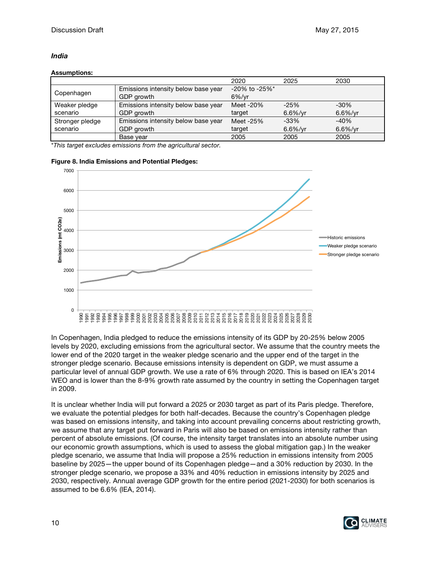## *India*

### **Assumptions:**

|                 |                                     | 2020                            | 2025        | 2030        |
|-----------------|-------------------------------------|---------------------------------|-------------|-------------|
|                 | Emissions intensity below base year | $-20\%$ to $-25\%$ <sup>*</sup> |             |             |
| Copenhagen      | GDP growth                          | $6\%$ /vr                       |             |             |
| Weaker pledge   | Emissions intensity below base year | Meet -20%                       | $-25%$      | $-30\%$     |
| scenario        | GDP growth                          | target                          | $6.6\%$ /yr | $6.6\%$ /yr |
| Stronger pledge | Emissions intensity below base year | Meet -25%                       | $-33%$      | $-40%$      |
| scenario        | GDP growth                          | target                          | $6.6\%$ /yr | $6.6\%$ /yr |
|                 | Base year                           | 2005                            | 2005        | 2005        |

\**This target excludes emissions from the agricultural sector.*



#### **Figure 8. India Emissions and Potential Pledges:**

In Copenhagen, India pledged to reduce the emissions intensity of its GDP by 20-25% below 2005 levels by 2020, excluding emissions from the agricultural sector. We assume that the country meets the lower end of the 2020 target in the weaker pledge scenario and the upper end of the target in the stronger pledge scenario. Because emissions intensity is dependent on GDP, we must assume a particular level of annual GDP growth. We use a rate of 6% through 2020. This is based on IEA's 2014 WEO and is lower than the 8-9% growth rate assumed by the country in setting the Copenhagen target in 2009.

It is unclear whether India will put forward a 2025 or 2030 target as part of its Paris pledge. Therefore, we evaluate the potential pledges for both half-decades. Because the country's Copenhagen pledge was based on emissions intensity, and taking into account prevailing concerns about restricting growth, we assume that any target put forward in Paris will also be based on emissions intensity rather than percent of absolute emissions. (Of course, the intensity target translates into an absolute number using our economic growth assumptions, which is used to assess the global mitigation gap.) In the weaker pledge scenario, we assume that India will propose a 25% reduction in emissions intensity from 2005 baseline by 2025—the upper bound of its Copenhagen pledge—and a 30% reduction by 2030. In the stronger pledge scenario, we propose a 33% and 40% reduction in emissions intensity by 2025 and 2030, respectively. Annual average GDP growth for the entire period (2021-2030) for both scenarios is assumed to be 6.6% (IEA, 2014).

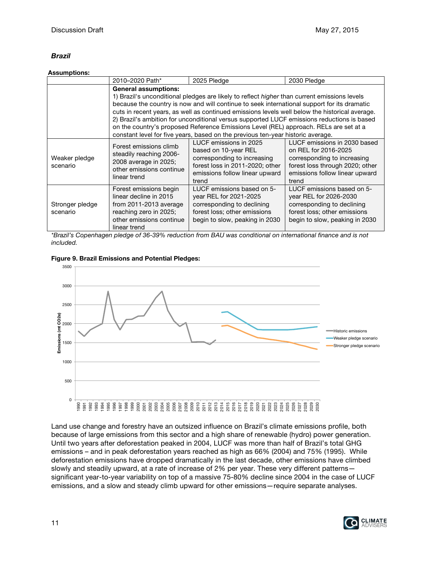## *Brazil*

### **Assumptions:**

|                             | 2010-2020 Path*                                                                                                                                  | 2025 Pledge                                                                                                                                                                                                                                                                                                                                                                                                                                                                                                                                                                    | 2030 Pledge                                                                                                                                                       |  |  |
|-----------------------------|--------------------------------------------------------------------------------------------------------------------------------------------------|--------------------------------------------------------------------------------------------------------------------------------------------------------------------------------------------------------------------------------------------------------------------------------------------------------------------------------------------------------------------------------------------------------------------------------------------------------------------------------------------------------------------------------------------------------------------------------|-------------------------------------------------------------------------------------------------------------------------------------------------------------------|--|--|
|                             | <b>General assumptions:</b>                                                                                                                      | 1) Brazil's unconditional pledges are likely to reflect <i>higher</i> than current emissions levels<br>because the country is now and will continue to seek international support for its dramatic<br>cuts in recent years, as well as continued emissions levels well below the historical average.<br>2) Brazil's ambition for unconditional versus supported LUCF emissions reductions is based<br>on the country's proposed Reference Emissions Level (REL) approach. RELs are set at a<br>constant level for five years, based on the previous ten-year historic average. |                                                                                                                                                                   |  |  |
| Weaker pledge<br>scenario   | Forest emissions climb<br>steadily reaching 2006-<br>2008 average in 2025;<br>other emissions continue<br>linear trend                           | LUCF emissions in 2025<br>based on 10-year REL<br>corresponding to increasing<br>forest loss in 2011-2020; other<br>emissions follow linear upward<br>trend                                                                                                                                                                                                                                                                                                                                                                                                                    | LUCF emissions in 2030 based<br>on REL for 2016-2025<br>corresponding to increasing<br>forest loss through 2020; other<br>emissions follow linear upward<br>trend |  |  |
| Stronger pledge<br>scenario | Forest emissions begin<br>linear decline in 2015<br>from 2011-2013 average<br>reaching zero in 2025;<br>other emissions continue<br>linear trend | LUCF emissions based on 5-<br>year REL for 2021-2025<br>corresponding to declining<br>forest loss; other emissions<br>begin to slow, peaking in 2030                                                                                                                                                                                                                                                                                                                                                                                                                           | LUCF emissions based on 5-<br>year REL for 2026-2030<br>corresponding to declining<br>forest loss; other emissions<br>begin to slow, peaking in 2030              |  |  |

*\*Brazil's Copenhagen pledge of 36-39% reduction from BAU was conditional on international finance and is not included.*



**Figure 9. Brazil Emissions and Potential Pledges:**

Land use change and forestry have an outsized influence on Brazil's climate emissions profile, both because of large emissions from this sector and a high share of renewable (hydro) power generation. Until two years after deforestation peaked in 2004, LUCF was more than half of Brazil's total GHG emissions – and in peak deforestation years reached as high as 66% (2004) and 75% (1995). While deforestation emissions have dropped dramatically in the last decade, other emissions have climbed slowly and steadily upward, at a rate of increase of 2% per year. These very different patterns significant year-to-year variability on top of a massive 75-80% decline since 2004 in the case of LUCF emissions, and a slow and steady climb upward for other emissions—require separate analyses.

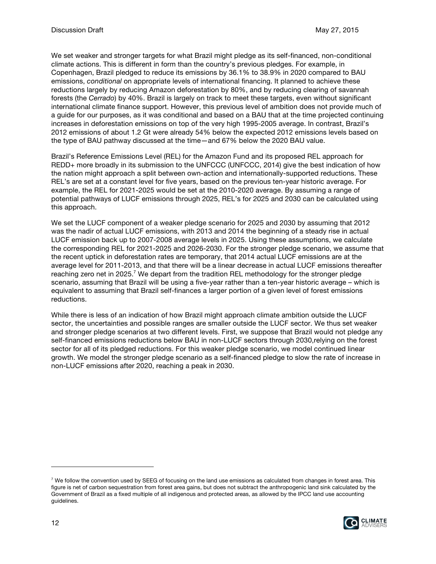We set weaker and stronger targets for what Brazil might pledge as its self-financed, non-conditional climate actions. This is different in form than the country's previous pledges. For example, in Copenhagen, Brazil pledged to reduce its emissions by 36.1% to 38.9% in 2020 compared to BAU emissions, *conditional* on appropriate levels of international financing. It planned to achieve these reductions largely by reducing Amazon deforestation by 80%, and by reducing clearing of savannah forests (the *Cerrado*) by 40%. Brazil is largely on track to meet these targets, even without significant international climate finance support. However, this previous level of ambition does not provide much of a guide for our purposes, as it was conditional and based on a BAU that at the time projected continuing increases in deforestation emissions on top of the very high 1995-2005 average. In contrast, Brazil's 2012 emissions of about 1.2 Gt were already 54% below the expected 2012 emissions levels based on the type of BAU pathway discussed at the time—and 67% below the 2020 BAU value.

Brazil's Reference Emissions Level (REL) for the Amazon Fund and its proposed REL approach for REDD+ more broadly in its submission to the UNFCCC (UNFCCC, 2014) give the best indication of how the nation might approach a split between own-action and internationally-supported reductions. These REL's are set at a constant level for five years, based on the previous ten-year historic average. For example, the REL for 2021-2025 would be set at the 2010-2020 average. By assuming a range of potential pathways of LUCF emissions through 2025, REL's for 2025 and 2030 can be calculated using this approach.

We set the LUCF component of a weaker pledge scenario for 2025 and 2030 by assuming that 2012 was the nadir of actual LUCF emissions, with 2013 and 2014 the beginning of a steady rise in actual LUCF emission back up to 2007-2008 average levels in 2025. Using these assumptions, we calculate the corresponding REL for 2021-2025 and 2026-2030. For the stronger pledge scenario, we assume that the recent uptick in deforestation rates are temporary, that 2014 actual LUCF emissions are at the average level for 2011-2013, and that there will be a linear decrease in actual LUCF emissions thereafter reaching zero net in 2025.<sup>7</sup> We depart from the tradition REL methodology for the stronger pledge scenario, assuming that Brazil will be using a five-year rather than a ten-year historic average – which is equivalent to assuming that Brazil self-finances a larger portion of a given level of forest emissions reductions.

While there is less of an indication of how Brazil might approach climate ambition outside the LUCF sector, the uncertainties and possible ranges are smaller outside the LUCF sector. We thus set weaker and stronger pledge scenarios at two different levels. First, we suppose that Brazil would not pledge any self-financed emissions reductions below BAU in non-LUCF sectors through 2030,relying on the forest sector for all of its pledged reductions. For this weaker pledge scenario, we model continued linear growth. We model the stronger pledge scenario as a self-financed pledge to slow the rate of increase in non-LUCF emissions after 2020, reaching a peak in 2030.

 $7$  We follow the convention used by SEEG of focusing on the land use emissions as calculated from changes in forest area. This figure is net of carbon sequestration from forest area gains, but does not subtract the anthropogenic land sink calculated by the Government of Brazil as a fixed multiple of all indigenous and protected areas, as allowed by the IPCC land use accounting guidelines.

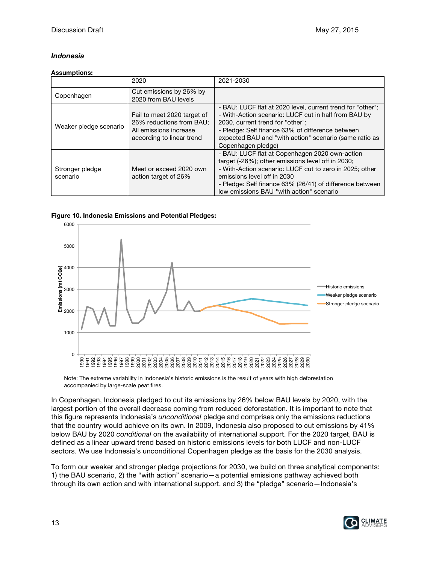## *Indonesia*

#### **Assumptions:**

|                             | 2020                                                                                                           | 2021-2030                                                                                                                                                                                                                                                                                             |
|-----------------------------|----------------------------------------------------------------------------------------------------------------|-------------------------------------------------------------------------------------------------------------------------------------------------------------------------------------------------------------------------------------------------------------------------------------------------------|
| Copenhagen                  | Cut emissions by 26% by<br>2020 from BAU levels                                                                |                                                                                                                                                                                                                                                                                                       |
| Weaker pledge scenario      | Fail to meet 2020 target of<br>26% reductions from BAU;<br>All emissions increase<br>according to linear trend | - BAU: LUCF flat at 2020 level, current trend for "other";<br>- With-Action scenario: LUCF cut in half from BAU by<br>2030, current trend for "other";<br>- Pledge: Self finance 63% of difference between<br>expected BAU and "with action" scenario (same ratio as<br>Copenhagen pledge)            |
| Stronger pledge<br>scenario | Meet or exceed 2020 own<br>action target of 26%                                                                | - BAU: LUCF flat at Copenhagen 2020 own-action<br>target (-26%); other emissions level off in 2030;<br>- With-Action scenario: LUCF cut to zero in 2025; other<br>emissions level off in 2030<br>- Pledge: Self finance 63% (26/41) of difference between<br>low emissions BAU "with action" scenario |

### **Figure 10. Indonesia Emissions and Potential Pledges:**



Note: The extreme variability in Indonesia's historic emissions is the result of years with high deforestation accompanied by large-scale peat fires.

In Copenhagen, Indonesia pledged to cut its emissions by 26% below BAU levels by 2020, with the largest portion of the overall decrease coming from reduced deforestation. It is important to note that this figure represents Indonesia's *unconditional* pledge and comprises only the emissions reductions that the country would achieve on its own. In 2009, Indonesia also proposed to cut emissions by 41% below BAU by 2020 *conditional* on the availability of international support. For the 2020 target, BAU is defined as a linear upward trend based on historic emissions levels for both LUCF and non-LUCF sectors. We use Indonesia's unconditional Copenhagen pledge as the basis for the 2030 analysis.

To form our weaker and stronger pledge projections for 2030, we build on three analytical components: 1) the BAU scenario, 2) the "with action" scenario—a potential emissions pathway achieved both through its own action and with international support, and 3) the "pledge" scenario—Indonesia's

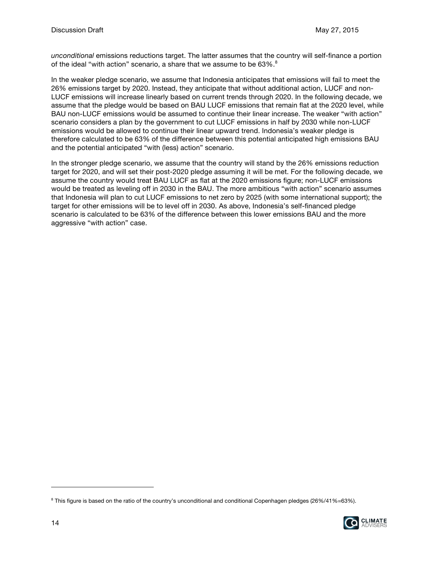*unconditional* emissions reductions target. The latter assumes that the country will self-finance a portion of the ideal "with action" scenario, a share that we assume to be 63%.<sup>8</sup>

In the weaker pledge scenario, we assume that Indonesia anticipates that emissions will fail to meet the 26% emissions target by 2020. Instead, they anticipate that without additional action, LUCF and non-LUCF emissions will increase linearly based on current trends through 2020. In the following decade, we assume that the pledge would be based on BAU LUCF emissions that remain flat at the 2020 level, while BAU non-LUCF emissions would be assumed to continue their linear increase. The weaker "with action" scenario considers a plan by the government to cut LUCF emissions in half by 2030 while non-LUCF emissions would be allowed to continue their linear upward trend. Indonesia's weaker pledge is therefore calculated to be 63% of the difference between this potential anticipated high emissions BAU and the potential anticipated "with (less) action" scenario.

In the stronger pledge scenario, we assume that the country will stand by the 26% emissions reduction target for 2020, and will set their post-2020 pledge assuming it will be met. For the following decade, we assume the country would treat BAU LUCF as flat at the 2020 emissions figure; non-LUCF emissions would be treated as leveling off in 2030 in the BAU. The more ambitious "with action" scenario assumes that Indonesia will plan to cut LUCF emissions to net zero by 2025 (with some international support); the target for other emissions will be to level off in 2030. As above, Indonesia's self-financed pledge scenario is calculated to be 63% of the difference between this lower emissions BAU and the more aggressive "with action" case.

<sup>8</sup> This figure is based on the ratio of the country's unconditional and conditional Copenhagen pledges (26%/41%=63%).

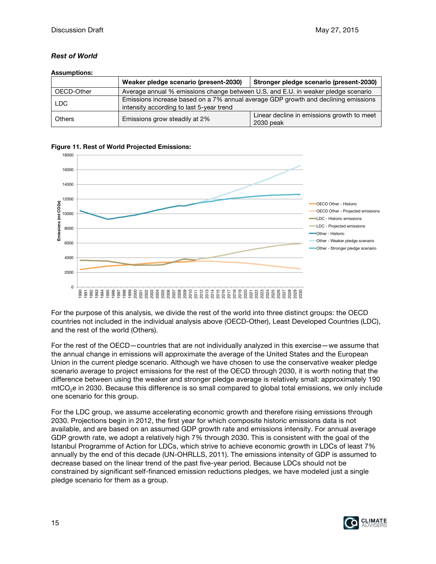## *Rest of World*

### **Assumptions:**

|               | Weaker pledge scenario (present-2030)                                                                                          | Stronger pledge scenario (present-2030)                 |  |
|---------------|--------------------------------------------------------------------------------------------------------------------------------|---------------------------------------------------------|--|
| OECD-Other    | Average annual % emissions change between U.S. and E.U. in weaker pledge scenario                                              |                                                         |  |
| <b>LDC</b>    | Emissions increase based on a 7% annual average GDP growth and declining emissions<br>intensity according to last 5-year trend |                                                         |  |
| <b>Others</b> | Emissions grow steadily at 2%                                                                                                  | Linear decline in emissions growth to meet<br>2030 peak |  |





For the purpose of this analysis, we divide the rest of the world into three distinct groups: the OECD countries not included in the individual analysis above (OECD-Other), Least Developed Countries (LDC), and the rest of the world (Others).

For the rest of the OECD—countries that are not individually analyzed in this exercise—we assume that the annual change in emissions will approximate the average of the United States and the European Union in the current pledge scenario. Although we have chosen to use the conservative weaker pledge scenario average to project emissions for the rest of the OECD through 2030, it is worth noting that the difference between using the weaker and stronger pledge average is relatively small: approximately 190 mtCO<sub>2</sub>e in 2030. Because this difference is so small compared to global total emissions, we only include one scenario for this group.

For the LDC group, we assume accelerating economic growth and therefore rising emissions through 2030. Projections begin in 2012, the first year for which composite historic emissions data is not available, and are based on an assumed GDP growth rate and emissions intensity. For annual average GDP growth rate, we adopt a relatively high 7% through 2030. This is consistent with the goal of the Istanbul Programme of Action for LDCs, which strive to achieve economic growth in LDCs of least 7% annually by the end of this decade (UN-OHRLLS, 2011). The emissions intensity of GDP is assumed to decrease based on the linear trend of the past five-year period. Because LDCs should not be constrained by significant self-financed emission reductions pledges, we have modeled just a single pledge scenario for them as a group.

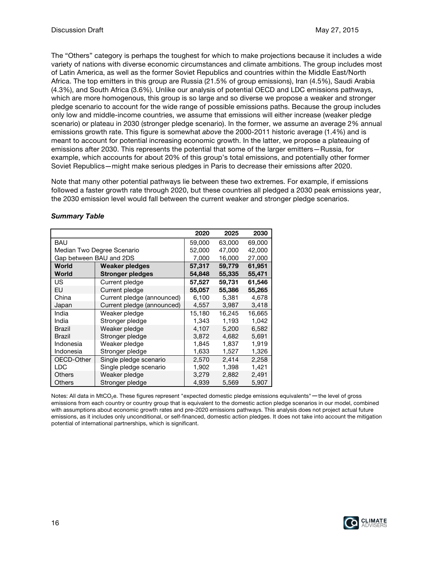The "Others" category is perhaps the toughest for which to make projections because it includes a wide variety of nations with diverse economic circumstances and climate ambitions. The group includes most of Latin America, as well as the former Soviet Republics and countries within the Middle East/North Africa. The top emitters in this group are Russia (21.5% of group emissions), Iran (4.5%), Saudi Arabia (4.3%), and South Africa (3.6%). Unlike our analysis of potential OECD and LDC emissions pathways, which are more homogenous, this group is so large and so diverse we propose a weaker and stronger pledge scenario to account for the wide range of possible emissions paths. Because the group includes only low and middle-income countries, we assume that emissions will either increase (weaker pledge scenario) or plateau in 2030 (stronger pledge scenario). In the former, we assume an average 2% annual emissions growth rate. This figure is somewhat *above* the 2000-2011 historic average (1.4%) and is meant to account for potential increasing economic growth. In the latter, we propose a plateauing of emissions after 2030. This represents the potential that some of the larger emitters—Russia, for example, which accounts for about 20% of this group's total emissions, and potentially other former Soviet Republics—might make serious pledges in Paris to decrease their emissions after 2020.

Note that many other potential pathways lie between these two extremes. For example, if emissions followed a faster growth rate through 2020, but these countries all pledged a 2030 peak emissions year, the 2030 emission level would fall between the current weaker and stronger pledge scenarios.

|                         |                            | 2020   | 2025   | 2030   |
|-------------------------|----------------------------|--------|--------|--------|
| <b>BAU</b>              |                            | 59,000 | 63,000 | 69,000 |
|                         | Median Two Degree Scenario | 52,000 | 47,000 | 42,000 |
| Gap between BAU and 2DS |                            | 7,000  | 16,000 | 27,000 |
| World                   | <b>Weaker pledges</b>      | 57,317 | 59,779 | 61,951 |
| World                   | Stronger pledges           | 54,848 | 55,335 | 55,471 |
| US                      | Current pledge             | 57,527 | 59,731 | 61,546 |
| EU                      | Current pledge             | 55,057 | 55,386 | 55,265 |
| China                   | Current pledge (announced) | 6.100  | 5.381  | 4.678  |
| Japan                   | Current pledge (announced) | 4,557  | 3,987  | 3,418  |
| India                   | Weaker pledge              | 15,180 | 16,245 | 16,665 |
| India                   | Stronger pledge            | 1,343  | 1,193  | 1,042  |
| <b>Brazil</b>           | Weaker pledge              | 4.107  | 5.200  | 6,582  |
| <b>Brazil</b>           | Stronger pledge            | 3.872  | 4.682  | 5,691  |
| Indonesia               | Weaker pledge              | 1.845  | 1.837  | 1,919  |
| Indonesia               | Stronger pledge            | 1,633  | 1,527  | 1,326  |
| OECD-Other              | Single pledge scenario     | 2,570  | 2,414  | 2,258  |
| LDC                     | Single pledge scenario     | 1,902  | 1,398  | 1,421  |
| <b>Others</b>           | Weaker pledge              | 3,279  | 2,882  | 2,491  |
| Others                  | Stronger pledge            | 4,939  | 5,569  | 5,907  |

## *Summary Table*

Notes: All data in MtCO<sub>2</sub>e. These figures represent "expected domestic pledge emissions equivalents"—the level of gross emissions from each country or country group that is equivalent to the domestic action pledge scenarios in our model, combined with assumptions about economic growth rates and pre-2020 emissions pathways. This analysis does not project actual future emissions, as it includes only unconditional, or self-financed, domestic action pledges. It does not take into account the mitigation potential of international partnerships, which is significant.